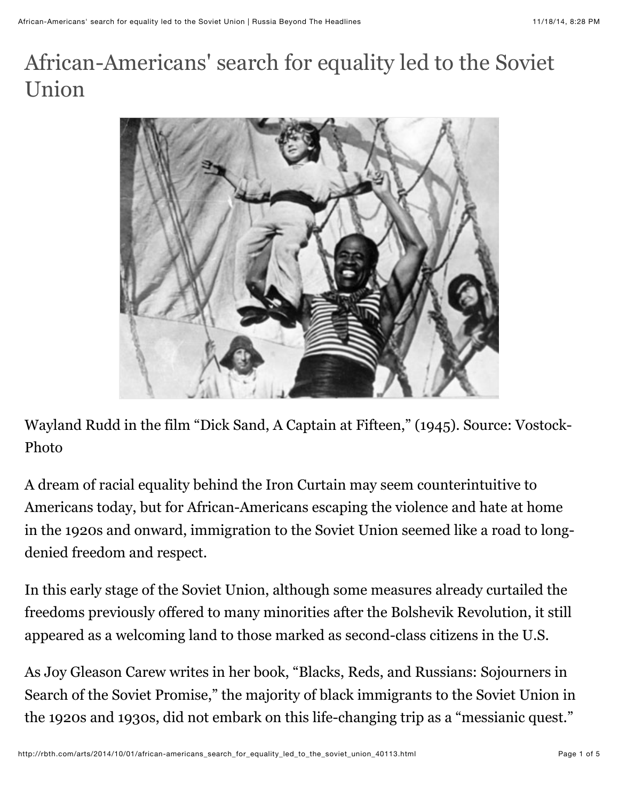## African-Americans' search for equality led to the Soviet Union



Wayland Rudd in the film "Dick Sand, A Captain at Fifteen," (1945). Source: Vostock-Photo

A dream of racial equality behind the Iron Curtain may seem counterintuitive to Americans today, but for African-Americans escaping the violence and hate at home in the 1920s and onward, immigration to the Soviet Union seemed like a road to longdenied freedom and respect.

In this early stage of the Soviet Union, although some measures already curtailed the freedoms previously offered to many minorities after the Bolshevik Revolution, it still appeared as a welcoming land to those marked as second-class citizens in the U.S.

As Joy Gleason Carew writes in her book, "Blacks, Reds, and Russians: Sojourners in Search of the Soviet Promise," the majority of black immigrants to the Soviet Union in the 1920s and 1930s, did not embark on this life-changing trip as a "messianic quest."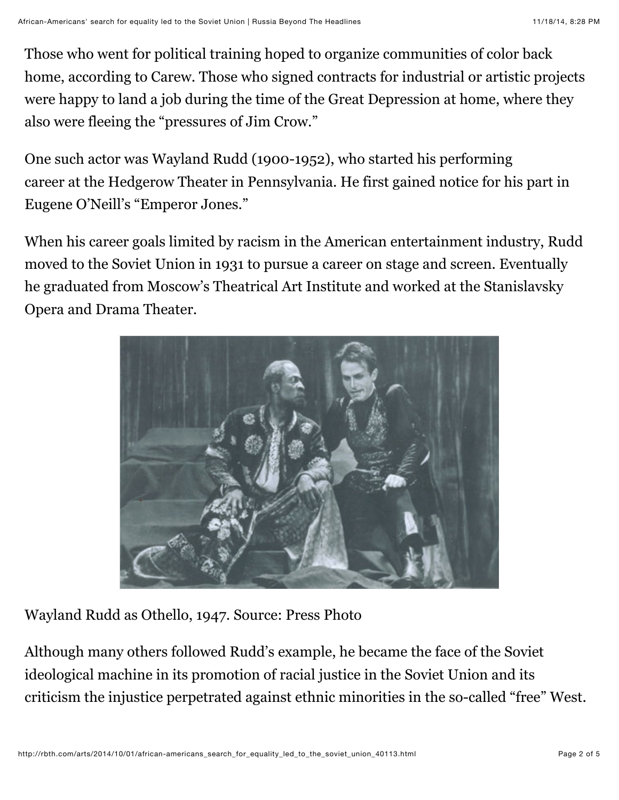Those who went for political training hoped to organize communities of color back home, according to Carew. Those who signed contracts for industrial or artistic projects were happy to land a job during the time of the Great Depression at home, where they also were fleeing the "pressures of Jim Crow."

One such actor was Wayland Rudd (1900-1952), who started his performing career at the Hedgerow Theater in Pennsylvania. He first gained notice for his part in Eugene O'Neill's "Emperor Jones."

When his career goals limited by racism in the American entertainment industry, Rudd moved to the Soviet Union in 1931 to pursue a career on stage and screen. Eventually he graduated from Moscow's Theatrical Art Institute and worked at the Stanislavsky Opera and Drama Theater.



Wayland Rudd as Othello, 1947. Source: Press Photo

Although many others followed Rudd's example, he became the face of the Soviet ideological machine in its promotion of racial justice in the Soviet Union and its criticism the injustice perpetrated against ethnic minorities in the so-called "free" West.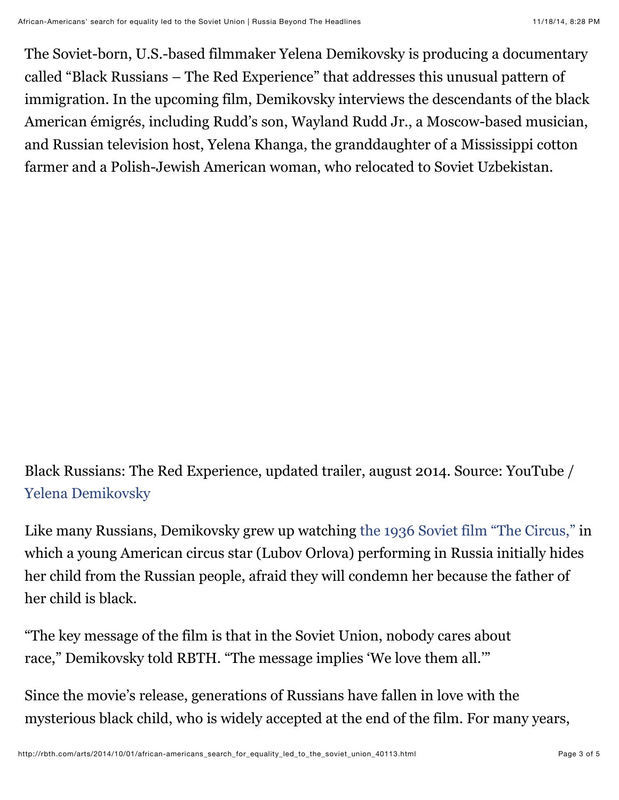The Soviet-born, U.S.-based filmmaker Yelena Demikovsky is producing a documentary called "Black Russians – The Red Experience" that addresses this unusual pattern of immigration. In the upcoming film, Demikovsky interviews the descendants of the black American émigrés, including Rudd's son, Wayland Rudd Jr., a Moscow-based musician, and Russian television host, Yelena Khanga, the granddaughter of a Mississippi cotton farmer and a Polish-Jewish American woman, who relocated to Soviet Uzbekistan.

## Black Russians: The Red Experience, updated trailer, august 2014. Source: YouTube / [Yelena Demikovsky](http://www.youtube.com/channel/UCJ8WhkHN9CTzTiuxx4w8ugQ)

Like many Russians, Demikovsky grew up watching [the 1936 Soviet film "The Circus,"](http://rbth.com/blogs/2014/01/22/finding_myself_in_the_moscow_circus_33457.html) in which a young American circus star (Lubov Orlova) performing in Russia initially hides her child from the Russian people, afraid they will condemn her because the father of her child is black.

"The key message of the film is that in the Soviet Union, nobody cares about race," Demikovsky told RBTH. "The message implies 'We love them all.'"

Since the movie's release, generations of Russians have fallen in love with the mysterious black child, who is widely accepted at the end of the film. For many years,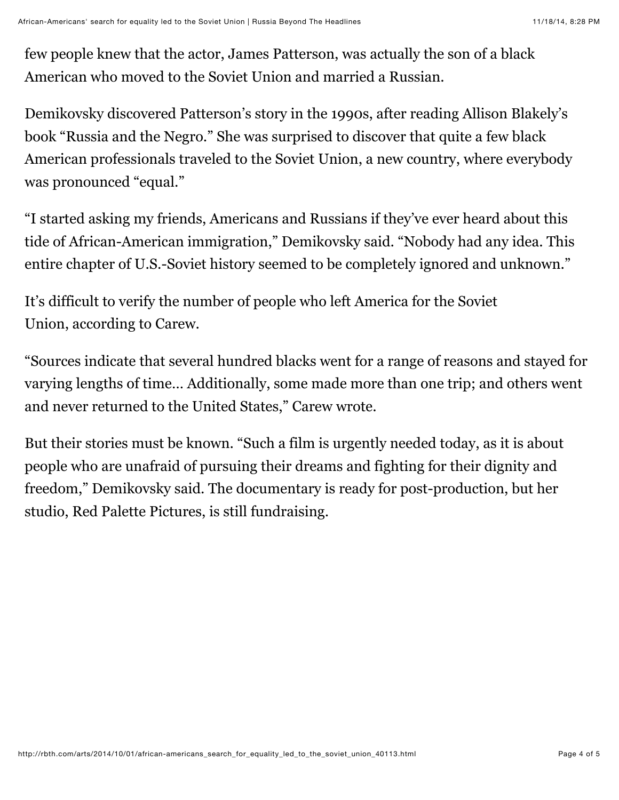few people knew that the actor, James Patterson, was actually the son of a black American who moved to the Soviet Union and married a Russian.

Demikovsky discovered Patterson's story in the 1990s, after reading Allison Blakely's book "Russia and the Negro." She was surprised to discover that quite a few black American professionals traveled to the Soviet Union, a new country, where everybody was pronounced "equal."

"I started asking my friends, Americans and Russians if they've ever heard about this tide of African-American immigration," Demikovsky said. "Nobody had any idea. This entire chapter of U.S.-Soviet history seemed to be completely ignored and unknown."

It's difficult to verify the number of people who left America for the Soviet Union, according to Carew.

"Sources indicate that several hundred blacks went for a range of reasons and stayed for varying lengths of time… Additionally, some made more than one trip; and others went and never returned to the United States," Carew wrote.

But their stories must be known. "Such a film is urgently needed today, as it is about people who are unafraid of pursuing their dreams and fighting for their dignity and freedom," Demikovsky said. The documentary is ready for post-production, but her studio, Red Palette Pictures, is still fundraising.